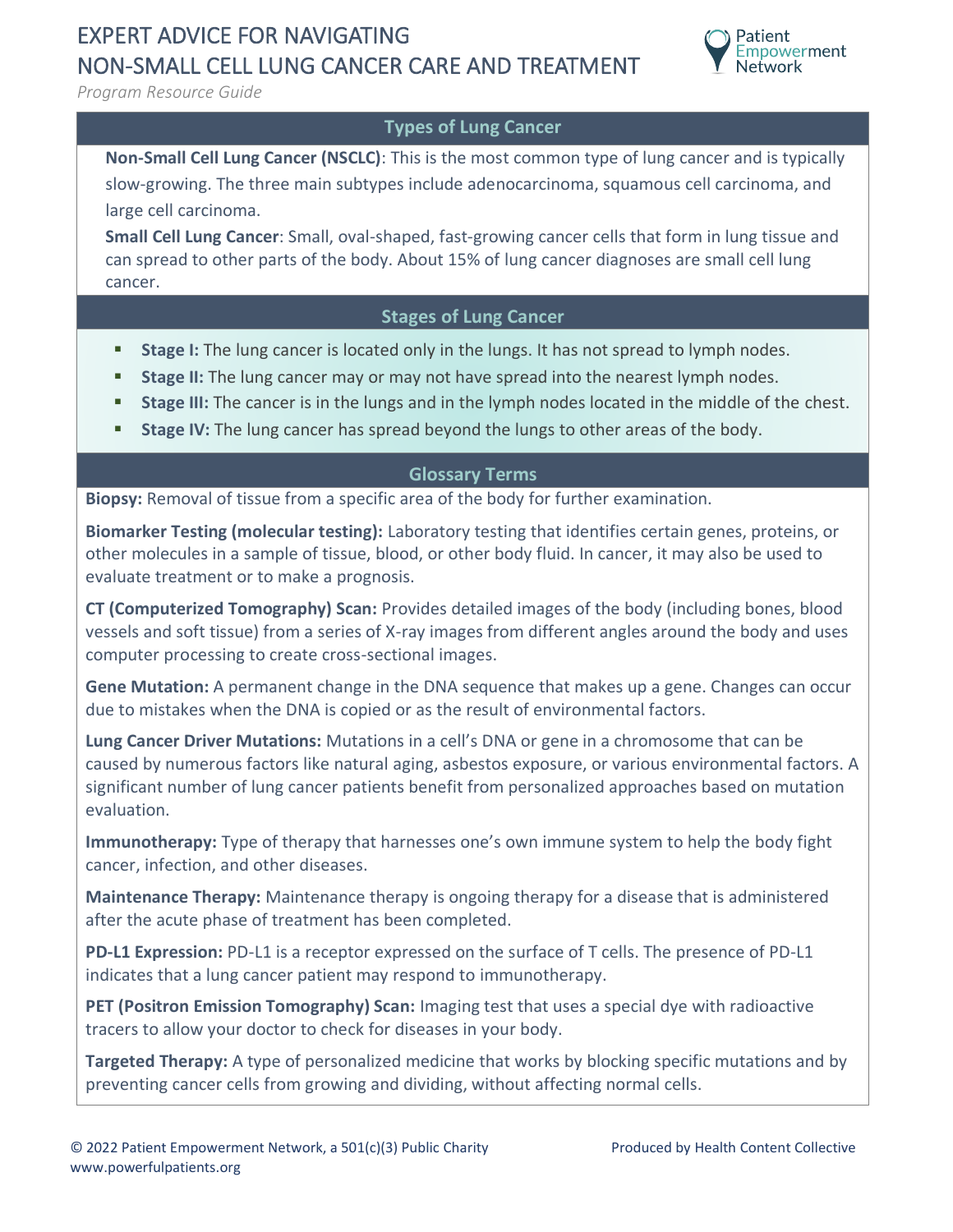## EXPERT ADVICE FOR NAVIGATING NON-SMALL CELL LUNG CANCER CARE AND TREATMENT



*Program Resource Guide*

### **Types of Lung Cancer**

**Non-Small Cell Lung Cancer (NSCLC)**: This is the most common type of lung cancer and is typically slow-growing. The three main subtypes include adenocarcinoma, squamous cell carcinoma, and large cell carcinoma.

**Small Cell Lung Cancer**: Small, oval-shaped, fast-growing cancer cells that form in lung tissue and can spread to other parts of the body. About 15% of lung cancer diagnoses are small cell lung cancer.

#### **Stages of Lung Cancer**

- **Stage I:** The lung cancer is located only in the lungs. It has not spread to lymph nodes.
- **EXTER 11:** The lung cancer may or may not have spread into the nearest lymph nodes.
- Stage III: The cancer is in the lungs and in the lymph nodes located in the middle of the chest.
- **EXECT:** Stage IV: The lung cancer has spread beyond the lungs to other areas of the body.

#### **Glossary Terms**

**Biopsy:** Removal of tissue from a specific area of the body for further examination.

**Biomarker Testing (molecular testing):** Laboratory testing that identifies certain genes, proteins, or other molecules in a sample of tissue, blood, or other body fluid. In cancer, it may also be used to evaluate treatment or to make a prognosis.

**CT (Computerized Tomography) Scan:** Provides detailed images of the body (including bones, blood vessels and soft tissue) from a series of X-ray images from different angles around the body and uses computer processing to create cross-sectional images.

**Gene Mutation:** A permanent change in the DNA sequence that makes up a gene. Changes can occur due to mistakes when the DNA is copied or as the result of environmental factors.

**Lung Cancer Driver Mutations:** Mutations in a cell's DNA or gene in a chromosome that can be caused by numerous factors like natural aging, asbestos exposure, or various environmental factors. A significant number of lung cancer patients benefit from personalized approaches based on mutation evaluation.

**Immunotherapy:** Type of therapy that harnesses one's own immune system to help the body fight cancer, infection, and other diseases.

**Maintenance Therapy:** Maintenance therapy is ongoing therapy for a disease that is administered after the acute phase of treatment has been completed.

**PD-L1 Expression:** PD-L1 is a receptor expressed on the surface of T cells. The presence of PD-L1 indicates that a lung cancer patient may respond to immunotherapy.

**PET (Positron Emission Tomography) Scan:** Imaging test that uses a special dye with radioactive tracers to allow your doctor to check for diseases in your body.

**Targeted Therapy:** A type of personalized medicine that works by blocking specific mutations and by preventing cancer cells from growing and dividing, without affecting normal cells.